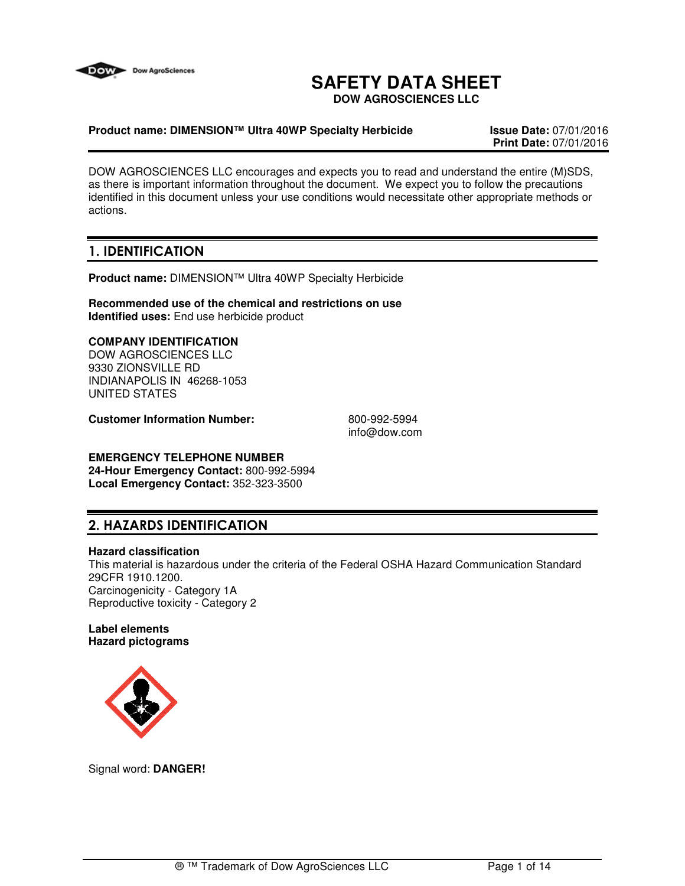

# **SAFETY DATA SHEET**

**DOW AGROSCIENCES LLC**

#### **Product name: DIMENSION™ Ultra 40WP Specialty Herbicide Issue Date:** 07/01/2016

**Print Date:** 07/01/2016

DOW AGROSCIENCES LLC encourages and expects you to read and understand the entire (M)SDS, as there is important information throughout the document. We expect you to follow the precautions identified in this document unless your use conditions would necessitate other appropriate methods or actions.

# **1. IDENTIFICATION**

**Product name:** DIMENSION™ Ultra 40WP Specialty Herbicide

**Recommended use of the chemical and restrictions on use Identified uses:** End use herbicide product

### **COMPANY IDENTIFICATION**

DOW AGROSCIENCES LLC 9330 ZIONSVILLE RD INDIANAPOLIS IN 46268-1053 UNITED STATES

**Customer Information Number:** 800-992-5994

info@dow.com

# **EMERGENCY TELEPHONE NUMBER**

**24-Hour Emergency Contact:** 800-992-5994 **Local Emergency Contact:** 352-323-3500

# **2. HAZARDS IDENTIFICATION**

#### **Hazard classification**

This material is hazardous under the criteria of the Federal OSHA Hazard Communication Standard 29CFR 1910.1200. Carcinogenicity - Category 1A Reproductive toxicity - Category 2

#### **Label elements Hazard pictograms**



Signal word: **DANGER!**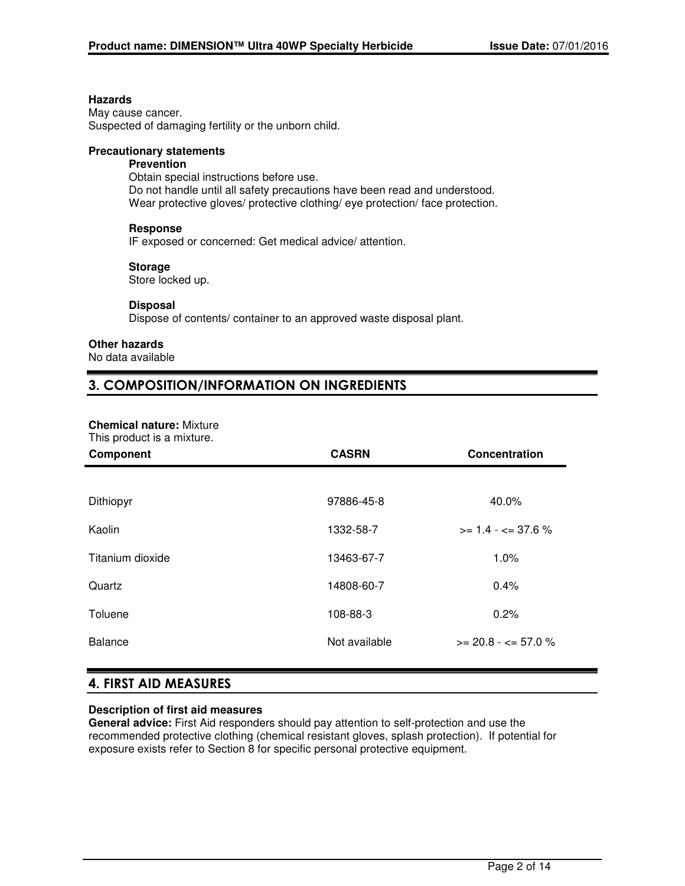#### **Hazards**

May cause cancer. Suspected of damaging fertility or the unborn child.

### **Precautionary statements**

### **Prevention**

Obtain special instructions before use. Do not handle until all safety precautions have been read and understood. Wear protective gloves/ protective clothing/ eye protection/ face protection.

#### **Response**

IF exposed or concerned: Get medical advice/ attention.

#### **Storage**

Store locked up.

#### **Disposal**

Dispose of contents/ container to an approved waste disposal plant.

#### **Other hazards**

No data available

# **3. COMPOSITION/INFORMATION ON INGREDIENTS**

#### **Chemical nature:** Mixture

This product is a mixture.

| THIS PROGRAM IS A HILARGE.<br>Component | <b>CASRN</b>  | Concentration                 |
|-----------------------------------------|---------------|-------------------------------|
|                                         |               |                               |
| Dithiopyr                               | 97886-45-8    | 40.0%                         |
| Kaolin                                  | 1332-58-7     | $>= 1.4 - \epsilon = 37.6 \%$ |
| Titanium dioxide                        | 13463-67-7    | 1.0%                          |
| Quartz                                  | 14808-60-7    | 0.4%                          |
| Toluene                                 | 108-88-3      | 0.2%                          |
| <b>Balance</b>                          | Not available | $>= 20.8 - 57.0 \%$           |
|                                         |               |                               |

# **4. FIRST AID MEASURES**

#### **Description of first aid measures**

**General advice:** First Aid responders should pay attention to self-protection and use the recommended protective clothing (chemical resistant gloves, splash protection). If potential for exposure exists refer to Section 8 for specific personal protective equipment.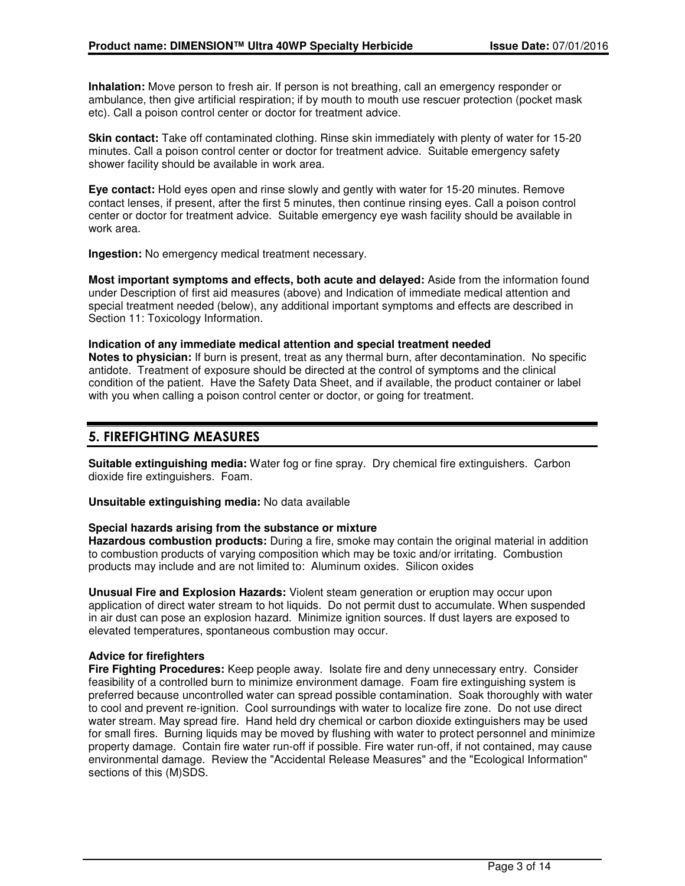**Inhalation:** Move person to fresh air. If person is not breathing, call an emergency responder or ambulance, then give artificial respiration; if by mouth to mouth use rescuer protection (pocket mask etc). Call a poison control center or doctor for treatment advice.

**Skin contact:** Take off contaminated clothing. Rinse skin immediately with plenty of water for 15-20 minutes. Call a poison control center or doctor for treatment advice. Suitable emergency safety shower facility should be available in work area.

**Eye contact:** Hold eyes open and rinse slowly and gently with water for 15-20 minutes. Remove contact lenses, if present, after the first 5 minutes, then continue rinsing eyes. Call a poison control center or doctor for treatment advice. Suitable emergency eye wash facility should be available in work area.

**Ingestion:** No emergency medical treatment necessary.

**Most important symptoms and effects, both acute and delayed:** Aside from the information found under Description of first aid measures (above) and Indication of immediate medical attention and special treatment needed (below), any additional important symptoms and effects are described in Section 11: Toxicology Information.

#### **Indication of any immediate medical attention and special treatment needed Notes to physician:** If burn is present, treat as any thermal burn, after decontamination. No specific antidote. Treatment of exposure should be directed at the control of symptoms and the clinical condition of the patient. Have the Safety Data Sheet, and if available, the product container or label with you when calling a poison control center or doctor, or going for treatment.

# **5. FIREFIGHTING MEASURES**

**Suitable extinguishing media:** Water fog or fine spray. Dry chemical fire extinguishers. Carbon dioxide fire extinguishers. Foam.

**Unsuitable extinguishing media:** No data available

#### **Special hazards arising from the substance or mixture**

**Hazardous combustion products:** During a fire, smoke may contain the original material in addition to combustion products of varying composition which may be toxic and/or irritating. Combustion products may include and are not limited to: Aluminum oxides. Silicon oxides

**Unusual Fire and Explosion Hazards:** Violent steam generation or eruption may occur upon application of direct water stream to hot liquids. Do not permit dust to accumulate. When suspended in air dust can pose an explosion hazard. Minimize ignition sources. If dust layers are exposed to elevated temperatures, spontaneous combustion may occur.

#### **Advice for firefighters**

**Fire Fighting Procedures:** Keep people away. Isolate fire and deny unnecessary entry. Consider feasibility of a controlled burn to minimize environment damage. Foam fire extinguishing system is preferred because uncontrolled water can spread possible contamination. Soak thoroughly with water to cool and prevent re-ignition. Cool surroundings with water to localize fire zone. Do not use direct water stream. May spread fire. Hand held dry chemical or carbon dioxide extinguishers may be used for small fires. Burning liquids may be moved by flushing with water to protect personnel and minimize property damage. Contain fire water run-off if possible. Fire water run-off, if not contained, may cause environmental damage. Review the "Accidental Release Measures" and the "Ecological Information" sections of this (M)SDS.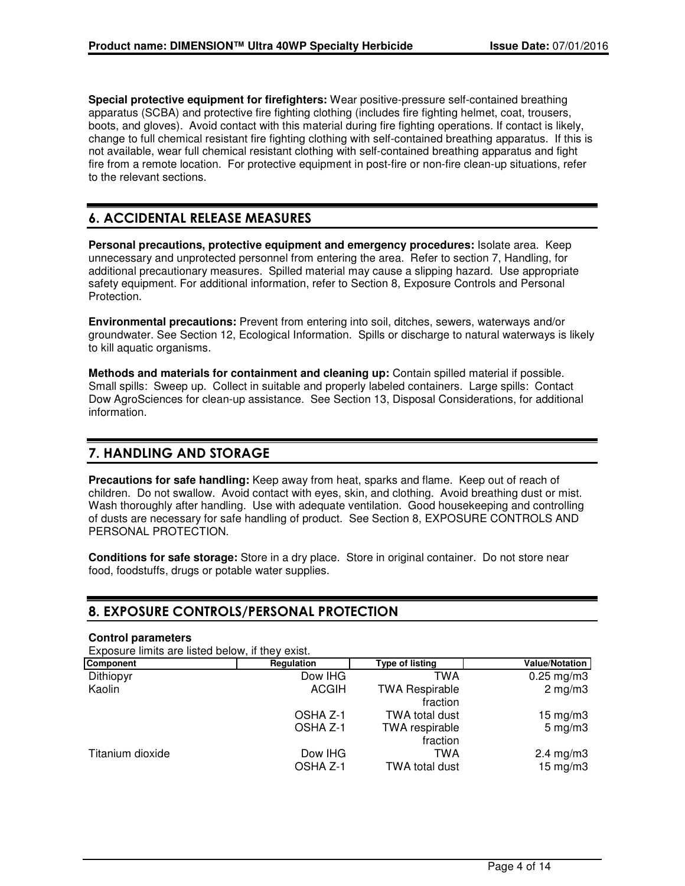**Special protective equipment for firefighters:** Wear positive-pressure self-contained breathing apparatus (SCBA) and protective fire fighting clothing (includes fire fighting helmet, coat, trousers, boots, and gloves). Avoid contact with this material during fire fighting operations. If contact is likely, change to full chemical resistant fire fighting clothing with self-contained breathing apparatus. If this is not available, wear full chemical resistant clothing with self-contained breathing apparatus and fight fire from a remote location. For protective equipment in post-fire or non-fire clean-up situations, refer to the relevant sections.

# **6. ACCIDENTAL RELEASE MEASURES**

**Personal precautions, protective equipment and emergency procedures:** Isolate area. Keep unnecessary and unprotected personnel from entering the area. Refer to section 7, Handling, for additional precautionary measures. Spilled material may cause a slipping hazard. Use appropriate safety equipment. For additional information, refer to Section 8, Exposure Controls and Personal Protection.

**Environmental precautions:** Prevent from entering into soil, ditches, sewers, waterways and/or groundwater. See Section 12, Ecological Information. Spills or discharge to natural waterways is likely to kill aquatic organisms.

**Methods and materials for containment and cleaning up:** Contain spilled material if possible. Small spills: Sweep up. Collect in suitable and properly labeled containers. Large spills: Contact Dow AgroSciences for clean-up assistance. See Section 13, Disposal Considerations, for additional information.

# **7. HANDLING AND STORAGE**

**Precautions for safe handling:** Keep away from heat, sparks and flame. Keep out of reach of children. Do not swallow. Avoid contact with eyes, skin, and clothing. Avoid breathing dust or mist. Wash thoroughly after handling. Use with adequate ventilation. Good housekeeping and controlling of dusts are necessary for safe handling of product. See Section 8, EXPOSURE CONTROLS AND PERSONAL PROTECTION.

**Conditions for safe storage:** Store in a dry place. Store in original container. Do not store near food, foodstuffs, drugs or potable water supplies.

# **8. EXPOSURE CONTROLS/PERSONAL PROTECTION**

#### **Control parameters**

Exposure limits are listed below, if they exist.

| Component        | Regulation   | <b>Type of listing</b>            | <b>Value/Notation</b> |
|------------------|--------------|-----------------------------------|-----------------------|
| Dithiopyr        | Dow IHG      | TWA                               | $0.25$ mg/m3          |
| Kaolin           | <b>ACGIH</b> | <b>TWA Respirable</b><br>fraction | $2 \text{ mg/m}$      |
|                  | OSHA Z-1     | TWA total dust                    | $15 \text{ mg/m}$ 3   |
|                  | OSHA Z-1     | TWA respirable<br>fraction        | $5 \text{ mg/m}$      |
| Titanium dioxide | Dow IHG      | TWA                               | $2.4 \text{ mg/m}$ 3  |
|                  | OSHA Z-1     | TWA total dust                    | $15 \text{ mg/m}$     |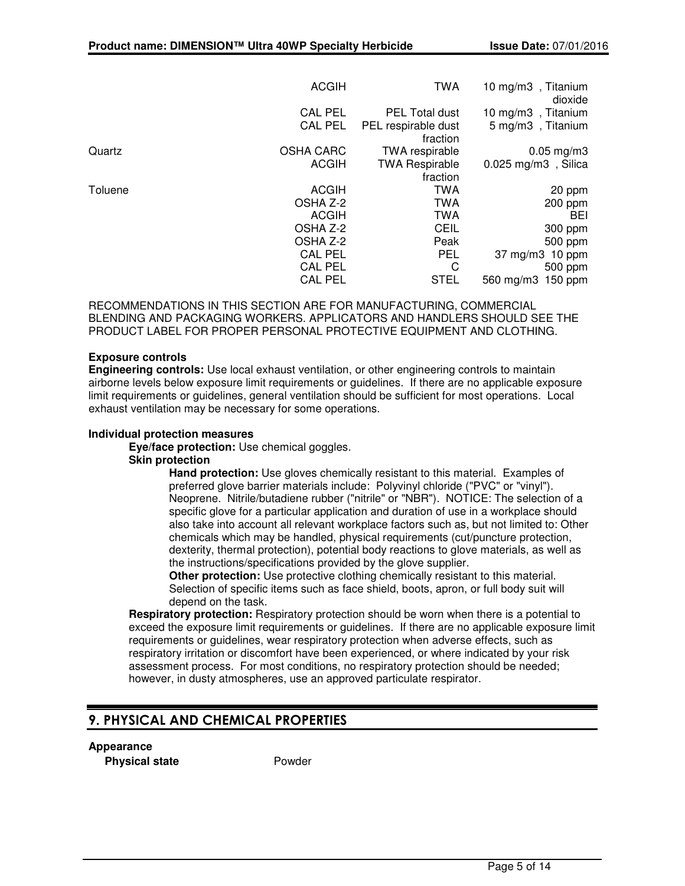|         | <b>ACGIH</b>     | <b>TWA</b>                      | 10 mg/m3, Titanium<br>dioxide |
|---------|------------------|---------------------------------|-------------------------------|
|         | <b>CAL PEL</b>   | <b>PEL Total dust</b>           | 10 mg/m3, Titanium            |
|         | <b>CAL PEL</b>   | PEL respirable dust<br>fraction | 5 mg/m3, Titanium             |
| Quartz  | <b>OSHA CARC</b> | TWA respirable                  | $0.05$ mg/m $3$               |
|         | <b>ACGIH</b>     | <b>TWA Respirable</b>           | $0.025$ mg/m3, Silica         |
|         |                  | fraction                        |                               |
| Toluene | <b>ACGIH</b>     | <b>TWA</b>                      | 20 ppm                        |
|         | OSHA Z-2         | <b>TWA</b>                      | 200 ppm                       |
|         | <b>ACGIH</b>     | <b>TWA</b>                      | BEI                           |
|         | OSHA Z-2         | <b>CEIL</b>                     | 300 ppm                       |
|         | OSHA Z-2         | Peak                            | 500 ppm                       |
|         | <b>CAL PEL</b>   | <b>PEL</b>                      | 37 mg/m3 10 ppm               |
|         | <b>CAL PEL</b>   | C                               | 500 ppm                       |
|         | <b>CAL PEL</b>   | <b>STEL</b>                     | 560 mg/m3 150 ppm             |

RECOMMENDATIONS IN THIS SECTION ARE FOR MANUFACTURING, COMMERCIAL BLENDING AND PACKAGING WORKERS. APPLICATORS AND HANDLERS SHOULD SEE THE PRODUCT LABEL FOR PROPER PERSONAL PROTECTIVE EQUIPMENT AND CLOTHING.

#### **Exposure controls**

**Engineering controls:** Use local exhaust ventilation, or other engineering controls to maintain airborne levels below exposure limit requirements or guidelines. If there are no applicable exposure limit requirements or guidelines, general ventilation should be sufficient for most operations. Local exhaust ventilation may be necessary for some operations.

#### **Individual protection measures**

**Eye/face protection:** Use chemical goggles.

#### **Skin protection**

**Hand protection:** Use gloves chemically resistant to this material. Examples of preferred glove barrier materials include: Polyvinyl chloride ("PVC" or "vinyl"). Neoprene. Nitrile/butadiene rubber ("nitrile" or "NBR"). NOTICE: The selection of a specific glove for a particular application and duration of use in a workplace should also take into account all relevant workplace factors such as, but not limited to: Other chemicals which may be handled, physical requirements (cut/puncture protection, dexterity, thermal protection), potential body reactions to glove materials, as well as the instructions/specifications provided by the glove supplier.

**Other protection:** Use protective clothing chemically resistant to this material. Selection of specific items such as face shield, boots, apron, or full body suit will depend on the task.

**Respiratory protection:** Respiratory protection should be worn when there is a potential to exceed the exposure limit requirements or guidelines. If there are no applicable exposure limit requirements or guidelines, wear respiratory protection when adverse effects, such as respiratory irritation or discomfort have been experienced, or where indicated by your risk assessment process. For most conditions, no respiratory protection should be needed; however, in dusty atmospheres, use an approved particulate respirator.

# **9. PHYSICAL AND CHEMICAL PROPERTIES**

#### **Appearance**

**Physical state** Powder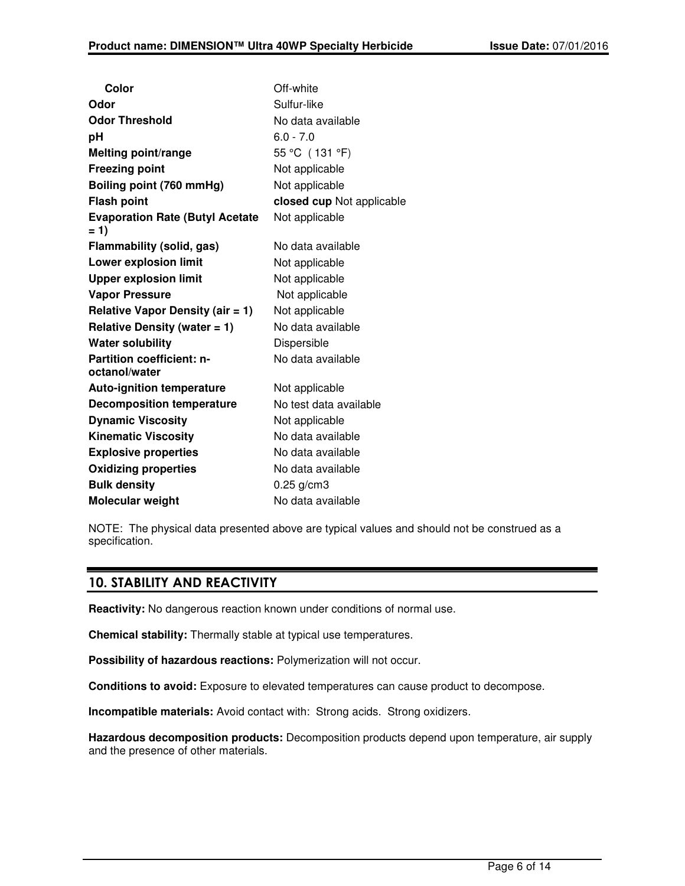| Color                                             | Off-white                 |
|---------------------------------------------------|---------------------------|
| Odor                                              | Sulfur-like               |
| <b>Odor Threshold</b>                             | No data available         |
| рH                                                | $6.0 - 7.0$               |
| <b>Melting point/range</b>                        | 55 °C (131 °F)            |
| <b>Freezing point</b>                             | Not applicable            |
| Boiling point (760 mmHg)                          | Not applicable            |
| <b>Flash point</b>                                | closed cup Not applicable |
| <b>Evaporation Rate (Butyl Acetate</b><br>$= 1$   | Not applicable            |
| <b>Flammability (solid, gas)</b>                  | No data available         |
| <b>Lower explosion limit</b>                      | Not applicable            |
| <b>Upper explosion limit</b>                      | Not applicable            |
| <b>Vapor Pressure</b>                             | Not applicable            |
| Relative Vapor Density (air $= 1$ )               | Not applicable            |
| Relative Density (water $= 1$ )                   | No data available         |
| <b>Water solubility</b>                           | Dispersible               |
| <b>Partition coefficient: n-</b><br>octanol/water | No data available         |
| <b>Auto-ignition temperature</b>                  | Not applicable            |
| <b>Decomposition temperature</b>                  | No test data available    |
| <b>Dynamic Viscosity</b>                          | Not applicable            |
| <b>Kinematic Viscosity</b>                        | No data available         |
| <b>Explosive properties</b>                       | No data available         |
| <b>Oxidizing properties</b>                       | No data available         |
| <b>Bulk density</b>                               | $0.25$ g/cm3              |
| Molecular weight                                  | No data available         |
|                                                   |                           |

NOTE: The physical data presented above are typical values and should not be construed as a specification.

# **10. STABILITY AND REACTIVITY**

**Reactivity:** No dangerous reaction known under conditions of normal use.

**Chemical stability:** Thermally stable at typical use temperatures.

**Possibility of hazardous reactions:** Polymerization will not occur.

**Conditions to avoid:** Exposure to elevated temperatures can cause product to decompose.

**Incompatible materials:** Avoid contact with: Strong acids. Strong oxidizers.

**Hazardous decomposition products:** Decomposition products depend upon temperature, air supply and the presence of other materials.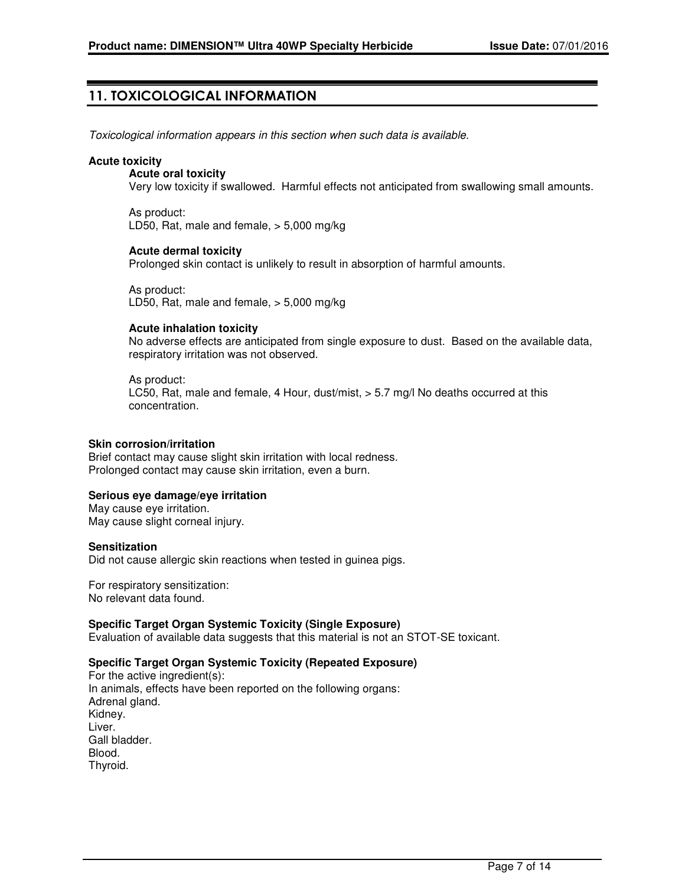# **11. TOXICOLOGICAL INFORMATION**

Toxicological information appears in this section when such data is available.

#### **Acute toxicity**

#### **Acute oral toxicity**

Very low toxicity if swallowed. Harmful effects not anticipated from swallowing small amounts.

As product: LD50, Rat, male and female, > 5,000 mg/kg

#### **Acute dermal toxicity**

Prolonged skin contact is unlikely to result in absorption of harmful amounts.

As product: LD50, Rat, male and female, > 5,000 mg/kg

#### **Acute inhalation toxicity**

No adverse effects are anticipated from single exposure to dust. Based on the available data, respiratory irritation was not observed.

#### As product:

LC50, Rat, male and female, 4 Hour, dust/mist, > 5.7 mg/l No deaths occurred at this concentration.

#### **Skin corrosion/irritation**

Brief contact may cause slight skin irritation with local redness. Prolonged contact may cause skin irritation, even a burn.

### **Serious eye damage/eye irritation**

May cause eye irritation. May cause slight corneal injury.

#### **Sensitization**

Did not cause allergic skin reactions when tested in guinea pigs.

For respiratory sensitization: No relevant data found.

### **Specific Target Organ Systemic Toxicity (Single Exposure)**

Evaluation of available data suggests that this material is not an STOT-SE toxicant.

### **Specific Target Organ Systemic Toxicity (Repeated Exposure)**

For the active ingredient(s): In animals, effects have been reported on the following organs: Adrenal gland. Kidney. Liver. Gall bladder. Blood. Thyroid.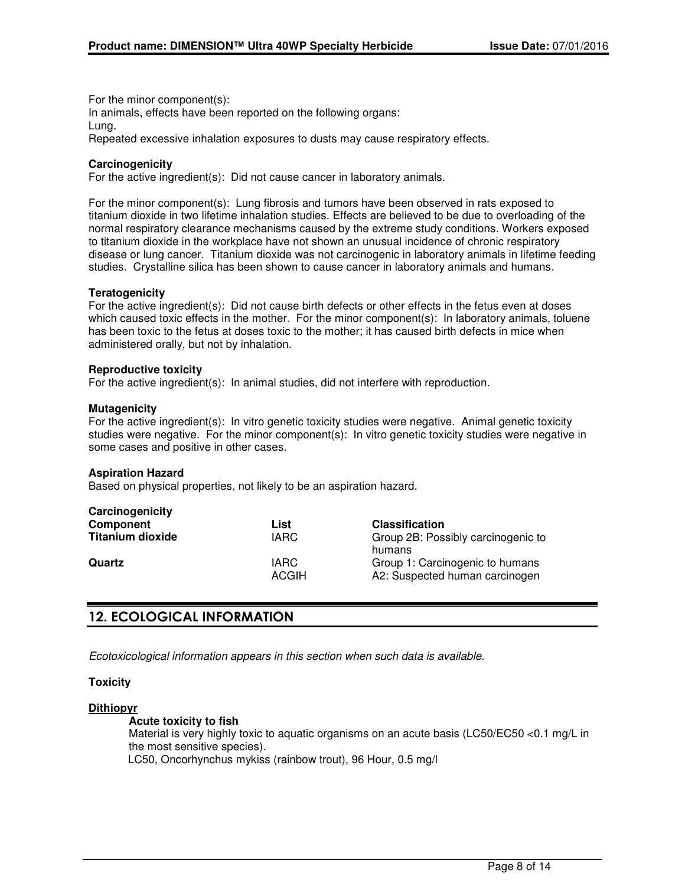For the minor component(s): In animals, effects have been reported on the following organs: Lung. Repeated excessive inhalation exposures to dusts may cause respiratory effects.

#### **Carcinogenicity**

For the active ingredient(s): Did not cause cancer in laboratory animals.

For the minor component(s): Lung fibrosis and tumors have been observed in rats exposed to titanium dioxide in two lifetime inhalation studies. Effects are believed to be due to overloading of the normal respiratory clearance mechanisms caused by the extreme study conditions. Workers exposed to titanium dioxide in the workplace have not shown an unusual incidence of chronic respiratory disease or lung cancer. Titanium dioxide was not carcinogenic in laboratory animals in lifetime feeding studies. Crystalline silica has been shown to cause cancer in laboratory animals and humans.

#### **Teratogenicity**

For the active ingredient(s): Did not cause birth defects or other effects in the fetus even at doses which caused toxic effects in the mother. For the minor component(s): In laboratory animals, toluene has been toxic to the fetus at doses toxic to the mother; it has caused birth defects in mice when administered orally, but not by inhalation.

#### **Reproductive toxicity**

For the active ingredient(s): In animal studies, did not interfere with reproduction.

#### **Mutagenicity**

For the active ingredient(s): In vitro genetic toxicity studies were negative. Animal genetic toxicity studies were negative. For the minor component(s): In vitro genetic toxicity studies were negative in some cases and positive in other cases.

#### **Aspiration Hazard**

Based on physical properties, not likely to be an aspiration hazard.

| Carcinogenicity         |                       |                                                                   |
|-------------------------|-----------------------|-------------------------------------------------------------------|
| Component               | List                  | <b>Classification</b>                                             |
| <b>Titanium dioxide</b> | IARC                  | Group 2B: Possibly carcinogenic to<br>humans                      |
| Quartz                  | IARC.<br><b>ACGIH</b> | Group 1: Carcinogenic to humans<br>A2: Suspected human carcinogen |

# **12. ECOLOGICAL INFORMATION**

Ecotoxicological information appears in this section when such data is available.

#### **Toxicity**

#### **Dithiopyr**

#### **Acute toxicity to fish**

Material is very highly toxic to aquatic organisms on an acute basis (LC50/EC50 <0.1 mg/L in the most sensitive species).

LC50, Oncorhynchus mykiss (rainbow trout), 96 Hour, 0.5 mg/l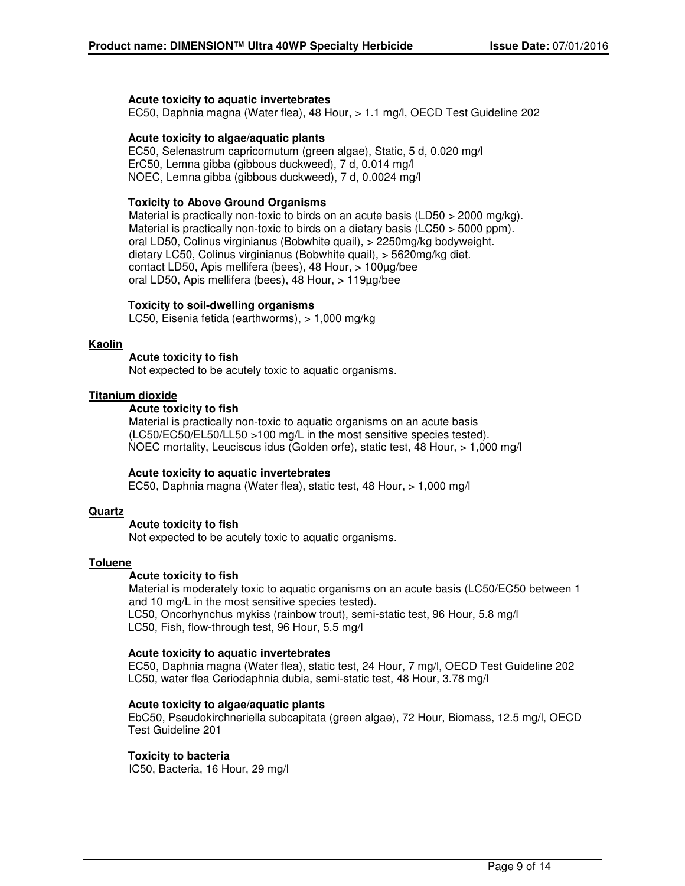#### **Acute toxicity to aquatic invertebrates**

EC50, Daphnia magna (Water flea), 48 Hour, > 1.1 mg/l, OECD Test Guideline 202

#### **Acute toxicity to algae/aquatic plants**

EC50, Selenastrum capricornutum (green algae), Static, 5 d, 0.020 mg/l ErC50, Lemna gibba (gibbous duckweed), 7 d, 0.014 mg/l NOEC, Lemna gibba (gibbous duckweed), 7 d, 0.0024 mg/l

#### **Toxicity to Above Ground Organisms**

Material is practically non-toxic to birds on an acute basis (LD50  $>$  2000 mg/kg). Material is practically non-toxic to birds on a dietary basis (LC50 > 5000 ppm). oral LD50, Colinus virginianus (Bobwhite quail), > 2250mg/kg bodyweight. dietary LC50, Colinus virginianus (Bobwhite quail), > 5620mg/kg diet. contact LD50, Apis mellifera (bees), 48 Hour, > 100µg/bee oral LD50, Apis mellifera (bees), 48 Hour, > 119µg/bee

#### **Toxicity to soil-dwelling organisms**

LC50, Eisenia fetida (earthworms), > 1,000 mg/kg

#### **Kaolin**

#### **Acute toxicity to fish**

Not expected to be acutely toxic to aquatic organisms.

#### **Titanium dioxide**

#### **Acute toxicity to fish**

Material is practically non-toxic to aquatic organisms on an acute basis (LC50/EC50/EL50/LL50 >100 mg/L in the most sensitive species tested). NOEC mortality, Leuciscus idus (Golden orfe), static test, 48 Hour, > 1,000 mg/l

#### **Acute toxicity to aquatic invertebrates**

EC50, Daphnia magna (Water flea), static test, 48 Hour, > 1,000 mg/l

#### **Quartz**

#### **Acute toxicity to fish**

Not expected to be acutely toxic to aquatic organisms.

#### **Toluene**

#### **Acute toxicity to fish**

Material is moderately toxic to aquatic organisms on an acute basis (LC50/EC50 between 1 and 10 mg/L in the most sensitive species tested). LC50, Oncorhynchus mykiss (rainbow trout), semi-static test, 96 Hour, 5.8 mg/l LC50, Fish, flow-through test, 96 Hour, 5.5 mg/l

#### **Acute toxicity to aquatic invertebrates**

EC50, Daphnia magna (Water flea), static test, 24 Hour, 7 mg/l, OECD Test Guideline 202 LC50, water flea Ceriodaphnia dubia, semi-static test, 48 Hour, 3.78 mg/l

### **Acute toxicity to algae/aquatic plants**

EbC50, Pseudokirchneriella subcapitata (green algae), 72 Hour, Biomass, 12.5 mg/l, OECD Test Guideline 201

### **Toxicity to bacteria**

IC50, Bacteria, 16 Hour, 29 mg/l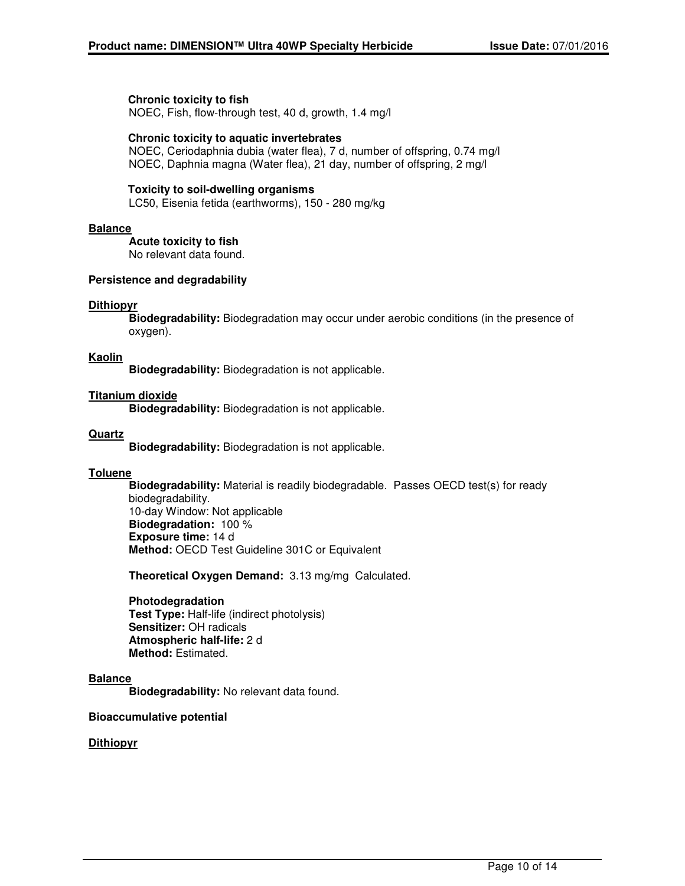#### **Chronic toxicity to fish**

NOEC, Fish, flow-through test, 40 d, growth, 1.4 mg/l

#### **Chronic toxicity to aquatic invertebrates**

NOEC, Ceriodaphnia dubia (water flea), 7 d, number of offspring, 0.74 mg/l NOEC, Daphnia magna (Water flea), 21 day, number of offspring, 2 mg/l

#### **Toxicity to soil-dwelling organisms**

LC50, Eisenia fetida (earthworms), 150 - 280 mg/kg

#### **Balance**

**Acute toxicity to fish**

No relevant data found.

#### **Persistence and degradability**

#### **Dithiopyr**

**Biodegradability:** Biodegradation may occur under aerobic conditions (in the presence of oxygen).

#### **Kaolin**

**Biodegradability:** Biodegradation is not applicable.

### **Titanium dioxide**

**Biodegradability:** Biodegradation is not applicable.

#### **Quartz**

**Biodegradability:** Biodegradation is not applicable.

#### **Toluene**

**Biodegradability:** Material is readily biodegradable. Passes OECD test(s) for ready biodegradability. 10-day Window: Not applicable **Biodegradation:** 100 % **Exposure time:** 14 d **Method:** OECD Test Guideline 301C or Equivalent

**Theoretical Oxygen Demand:** 3.13 mg/mg Calculated.

#### **Photodegradation**

**Test Type:** Half-life (indirect photolysis) **Sensitizer:** OH radicals **Atmospheric half-life:** 2 d **Method:** Estimated.

#### **Balance**

**Biodegradability:** No relevant data found.

### **Bioaccumulative potential**

### **Dithiopyr**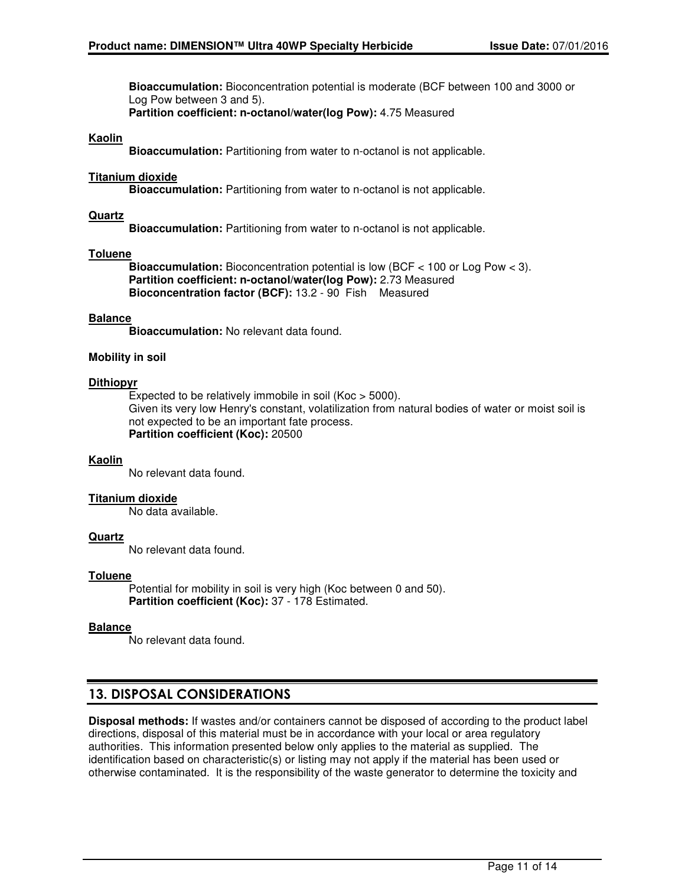**Bioaccumulation:** Bioconcentration potential is moderate (BCF between 100 and 3000 or Log Pow between 3 and 5).

**Partition coefficient: n-octanol/water(log Pow):** 4.75 Measured

#### **Kaolin**

**Bioaccumulation:** Partitioning from water to n-octanol is not applicable.

#### **Titanium dioxide**

**Bioaccumulation:** Partitioning from water to n-octanol is not applicable.

#### **Quartz**

**Bioaccumulation:** Partitioning from water to n-octanol is not applicable.

#### **Toluene**

**Bioaccumulation:** Bioconcentration potential is low (BCF < 100 or Log Pow < 3). **Partition coefficient: n-octanol/water(log Pow):** 2.73 Measured **Bioconcentration factor (BCF):** 13.2 - 90 Fish Measured

#### **Balance**

**Bioaccumulation:** No relevant data found.

#### **Mobility in soil**

#### **Dithiopyr**

Expected to be relatively immobile in soil (Koc > 5000). Given its very low Henry's constant, volatilization from natural bodies of water or moist soil is not expected to be an important fate process. **Partition coefficient (Koc):** 20500

#### **Kaolin**

No relevant data found.

#### **Titanium dioxide**

No data available.

### **Quartz**

No relevant data found.

#### **Toluene**

Potential for mobility in soil is very high (Koc between 0 and 50). **Partition coefficient (Koc):** 37 - 178 Estimated.

### **Balance**

No relevant data found.

# **13. DISPOSAL CONSIDERATIONS**

**Disposal methods:** If wastes and/or containers cannot be disposed of according to the product label directions, disposal of this material must be in accordance with your local or area regulatory authorities. This information presented below only applies to the material as supplied. The identification based on characteristic(s) or listing may not apply if the material has been used or otherwise contaminated. It is the responsibility of the waste generator to determine the toxicity and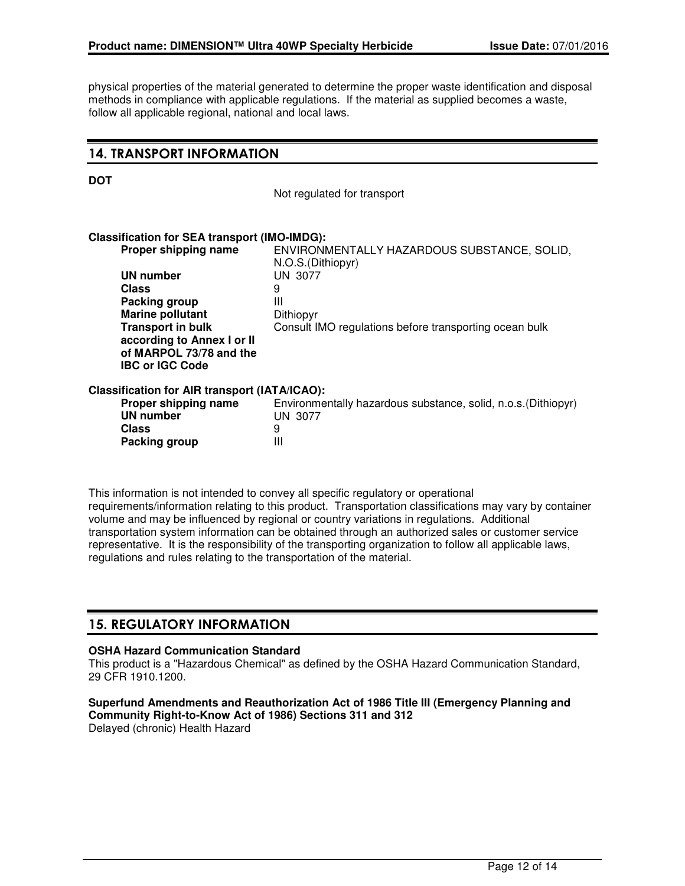physical properties of the material generated to determine the proper waste identification and disposal methods in compliance with applicable regulations. If the material as supplied becomes a waste, follow all applicable regional, national and local laws.

### **14. TRANSPORT INFORMATION**

Not regulated for transport

### **Classification for SEA transport (IMO-IMDG): ENVIRONMENTALLY HAZARDOUS SUBSTANCE, SOLID,**

|                                               | N.O.S.(Dithiopyr)                                              |
|-----------------------------------------------|----------------------------------------------------------------|
| <b>UN number</b>                              | UN 3077                                                        |
| <b>Class</b>                                  | 9                                                              |
| Packing group                                 | Ш                                                              |
| <b>Marine pollutant</b>                       | Dithiopyr                                                      |
| <b>Transport in bulk</b>                      | Consult IMO regulations before transporting ocean bulk         |
| according to Annex I or II                    |                                                                |
| of MARPOL 73/78 and the                       |                                                                |
| <b>IBC or IGC Code</b>                        |                                                                |
| Classification for AIR transport (IATA/ICAO): |                                                                |
| Proper shipping name                          | Environmentally hazardous substance, solid, n.o.s. (Dithiopyr) |
| <b>UN number</b>                              | UN 3077                                                        |
| <b>Class</b>                                  | 9                                                              |
|                                               |                                                                |

This information is not intended to convey all specific regulatory or operational requirements/information relating to this product. Transportation classifications may vary by container volume and may be influenced by regional or country variations in regulations. Additional transportation system information can be obtained through an authorized sales or customer service representative. It is the responsibility of the transporting organization to follow all applicable laws, regulations and rules relating to the transportation of the material.

# **15. REGULATORY INFORMATION**

**Packing group** III

#### **OSHA Hazard Communication Standard**

This product is a "Hazardous Chemical" as defined by the OSHA Hazard Communication Standard, 29 CFR 1910.1200.

# **Superfund Amendments and Reauthorization Act of 1986 Title III (Emergency Planning and**

**Community Right-to-Know Act of 1986) Sections 311 and 312**

Delayed (chronic) Health Hazard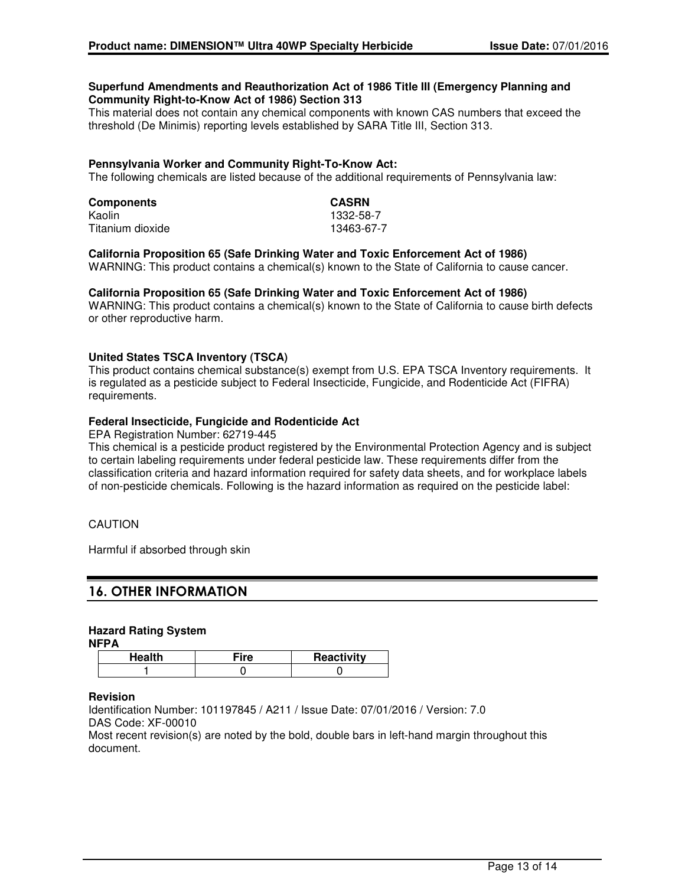#### **Superfund Amendments and Reauthorization Act of 1986 Title III (Emergency Planning and Community Right-to-Know Act of 1986) Section 313**

This material does not contain any chemical components with known CAS numbers that exceed the threshold (De Minimis) reporting levels established by SARA Title III, Section 313.

#### **Pennsylvania Worker and Community Right-To-Know Act:**

The following chemicals are listed because of the additional requirements of Pennsylvania law:

| <b>Components</b> | <b>CASRN</b> |
|-------------------|--------------|
| Kaolin            | 1332-58-7    |
| Titanium dioxide  | 13463-67-7   |

#### **California Proposition 65 (Safe Drinking Water and Toxic Enforcement Act of 1986)**

WARNING: This product contains a chemical(s) known to the State of California to cause cancer.

#### **California Proposition 65 (Safe Drinking Water and Toxic Enforcement Act of 1986)**

WARNING: This product contains a chemical(s) known to the State of California to cause birth defects or other reproductive harm.

#### **United States TSCA Inventory (TSCA)**

This product contains chemical substance(s) exempt from U.S. EPA TSCA Inventory requirements. It is regulated as a pesticide subject to Federal Insecticide, Fungicide, and Rodenticide Act (FIFRA) requirements.

#### **Federal Insecticide, Fungicide and Rodenticide Act**

EPA Registration Number: 62719-445

This chemical is a pesticide product registered by the Environmental Protection Agency and is subject to certain labeling requirements under federal pesticide law. These requirements differ from the classification criteria and hazard information required for safety data sheets, and for workplace labels of non-pesticide chemicals. Following is the hazard information as required on the pesticide label:

### CAUTION

Harmful if absorbed through skin

# **16. OTHER INFORMATION**

# **Hazard Rating System**

**NFPA**

| Health | ≂ire | Reactivity |
|--------|------|------------|
|        |      |            |

#### **Revision**

Identification Number: 101197845 / A211 / Issue Date: 07/01/2016 / Version: 7.0 DAS Code: XF-00010

Most recent revision(s) are noted by the bold, double bars in left-hand margin throughout this document.